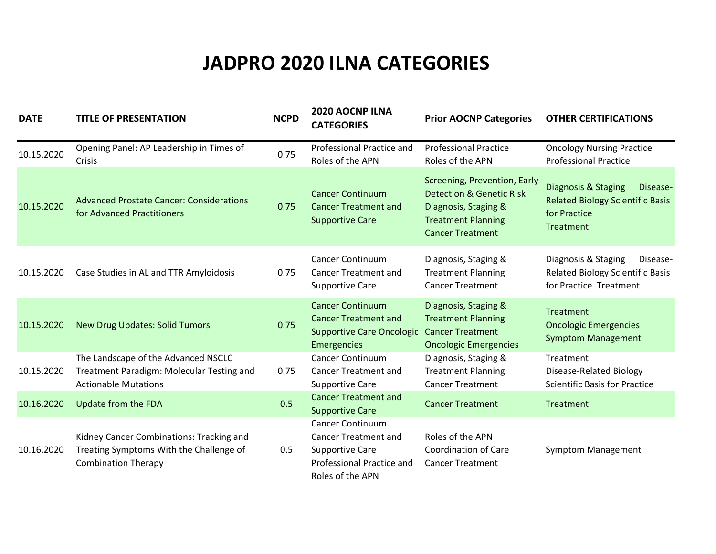## **JADPRO 2020 ILNA CATEGORIES**

| <b>DATE</b> | <b>TITLE OF PRESENTATION</b>                                                                                      | <b>NCPD</b> | 2020 AOCNP ILNA<br><b>CATEGORIES</b>                                                                                                     | <b>Prior AOCNP Categories</b>                                                                                                                       | <b>OTHER CERTIFICATIONS</b>                                                                             |
|-------------|-------------------------------------------------------------------------------------------------------------------|-------------|------------------------------------------------------------------------------------------------------------------------------------------|-----------------------------------------------------------------------------------------------------------------------------------------------------|---------------------------------------------------------------------------------------------------------|
| 10.15.2020  | Opening Panel: AP Leadership in Times of<br>Crisis                                                                | 0.75        | Professional Practice and<br>Roles of the APN                                                                                            | <b>Professional Practice</b><br>Roles of the APN                                                                                                    | <b>Oncology Nursing Practice</b><br><b>Professional Practice</b>                                        |
| 10.15.2020  | <b>Advanced Prostate Cancer: Considerations</b><br>for Advanced Practitioners                                     | 0.75        | <b>Cancer Continuum</b><br><b>Cancer Treatment and</b><br><b>Supportive Care</b>                                                         | Screening, Prevention, Early<br><b>Detection &amp; Genetic Risk</b><br>Diagnosis, Staging &<br><b>Treatment Planning</b><br><b>Cancer Treatment</b> | Diagnosis & Staging<br>Disease-<br><b>Related Biology Scientific Basis</b><br>for Practice<br>Treatment |
| 10.15.2020  | Case Studies in AL and TTR Amyloidosis                                                                            | 0.75        | <b>Cancer Continuum</b><br><b>Cancer Treatment and</b><br><b>Supportive Care</b>                                                         | Diagnosis, Staging &<br><b>Treatment Planning</b><br><b>Cancer Treatment</b>                                                                        | Diagnosis & Staging<br>Disease-<br><b>Related Biology Scientific Basis</b><br>for Practice Treatment    |
| 10.15.2020  | <b>New Drug Updates: Solid Tumors</b>                                                                             | 0.75        | <b>Cancer Continuum</b><br><b>Cancer Treatment and</b><br><b>Supportive Care Oncologic</b><br>Emergencies                                | Diagnosis, Staging &<br><b>Treatment Planning</b><br><b>Cancer Treatment</b><br><b>Oncologic Emergencies</b>                                        | Treatment<br><b>Oncologic Emergencies</b><br><b>Symptom Management</b>                                  |
| 10.15.2020  | The Landscape of the Advanced NSCLC<br>Treatment Paradigm: Molecular Testing and<br><b>Actionable Mutations</b>   | 0.75        | <b>Cancer Continuum</b><br><b>Cancer Treatment and</b><br><b>Supportive Care</b>                                                         | Diagnosis, Staging &<br><b>Treatment Planning</b><br><b>Cancer Treatment</b>                                                                        | Treatment<br>Disease-Related Biology<br><b>Scientific Basis for Practice</b>                            |
| 10.16.2020  | Update from the FDA                                                                                               | 0.5         | <b>Cancer Treatment and</b><br><b>Supportive Care</b>                                                                                    | <b>Cancer Treatment</b>                                                                                                                             | Treatment                                                                                               |
| 10.16.2020  | Kidney Cancer Combinations: Tracking and<br>Treating Symptoms With the Challenge of<br><b>Combination Therapy</b> | 0.5         | <b>Cancer Continuum</b><br><b>Cancer Treatment and</b><br><b>Supportive Care</b><br><b>Professional Practice and</b><br>Roles of the APN | Roles of the APN<br><b>Coordination of Care</b><br><b>Cancer Treatment</b>                                                                          | <b>Symptom Management</b>                                                                               |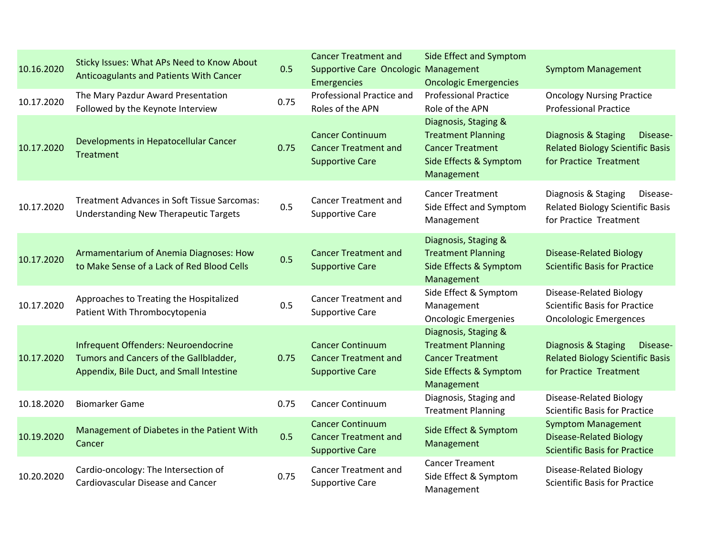| 10.16.2020 | Sticky Issues: What APs Need to Know About<br>Anticoagulants and Patients With Cancer                                      | 0.5  | <b>Cancer Treatment and</b><br>Supportive Care Oncologic Management<br>Emergencies | <b>Side Effect and Symptom</b><br><b>Oncologic Emergencies</b>                                                       | <b>Symptom Management</b>                                                                            |
|------------|----------------------------------------------------------------------------------------------------------------------------|------|------------------------------------------------------------------------------------|----------------------------------------------------------------------------------------------------------------------|------------------------------------------------------------------------------------------------------|
| 10.17.2020 | The Mary Pazdur Award Presentation<br>Followed by the Keynote Interview                                                    | 0.75 | Professional Practice and<br>Roles of the APN                                      | <b>Professional Practice</b><br>Role of the APN                                                                      | <b>Oncology Nursing Practice</b><br><b>Professional Practice</b>                                     |
| 10.17.2020 | Developments in Hepatocellular Cancer<br><b>Treatment</b>                                                                  | 0.75 | <b>Cancer Continuum</b><br><b>Cancer Treatment and</b><br><b>Supportive Care</b>   | Diagnosis, Staging &<br><b>Treatment Planning</b><br><b>Cancer Treatment</b><br>Side Effects & Symptom<br>Management | Diagnosis & Staging<br>Disease-<br><b>Related Biology Scientific Basis</b><br>for Practice Treatment |
| 10.17.2020 | Treatment Advances in Soft Tissue Sarcomas:<br><b>Understanding New Therapeutic Targets</b>                                | 0.5  | <b>Cancer Treatment and</b><br><b>Supportive Care</b>                              | <b>Cancer Treatment</b><br>Side Effect and Symptom<br>Management                                                     | Diagnosis & Staging<br>Disease-<br><b>Related Biology Scientific Basis</b><br>for Practice Treatment |
| 10.17.2020 | Armamentarium of Anemia Diagnoses: How<br>to Make Sense of a Lack of Red Blood Cells                                       | 0.5  | <b>Cancer Treatment and</b><br><b>Supportive Care</b>                              | Diagnosis, Staging &<br><b>Treatment Planning</b><br>Side Effects & Symptom<br>Management                            | <b>Disease-Related Biology</b><br><b>Scientific Basis for Practice</b>                               |
| 10.17.2020 | Approaches to Treating the Hospitalized<br>Patient With Thrombocytopenia                                                   | 0.5  | <b>Cancer Treatment and</b><br><b>Supportive Care</b>                              | Side Effect & Symptom<br>Management<br><b>Oncologic Emergenies</b>                                                   | Disease-Related Biology<br><b>Scientific Basis for Practice</b><br><b>Oncolologic Emergences</b>     |
| 10.17.2020 | Infrequent Offenders: Neuroendocrine<br>Tumors and Cancers of the Gallbladder,<br>Appendix, Bile Duct, and Small Intestine | 0.75 | <b>Cancer Continuum</b><br><b>Cancer Treatment and</b><br><b>Supportive Care</b>   | Diagnosis, Staging &<br><b>Treatment Planning</b><br><b>Cancer Treatment</b><br>Side Effects & Symptom<br>Management | Diagnosis & Staging<br>Disease-<br><b>Related Biology Scientific Basis</b><br>for Practice Treatment |
| 10.18.2020 | <b>Biomarker Game</b>                                                                                                      | 0.75 | <b>Cancer Continuum</b>                                                            | Diagnosis, Staging and<br><b>Treatment Planning</b>                                                                  | Disease-Related Biology<br><b>Scientific Basis for Practice</b>                                      |
| 10.19.2020 | Management of Diabetes in the Patient With<br>Cancer                                                                       | 0.5  | <b>Cancer Continuum</b><br><b>Cancer Treatment and</b><br><b>Supportive Care</b>   | Side Effect & Symptom<br>Management                                                                                  | <b>Symptom Management</b><br><b>Disease-Related Biology</b><br><b>Scientific Basis for Practice</b>  |
| 10.20.2020 | Cardio-oncology: The Intersection of<br><b>Cardiovascular Disease and Cancer</b>                                           | 0.75 | <b>Cancer Treatment and</b><br><b>Supportive Care</b>                              | <b>Cancer Treament</b><br>Side Effect & Symptom<br>Management                                                        | Disease-Related Biology<br><b>Scientific Basis for Practice</b>                                      |